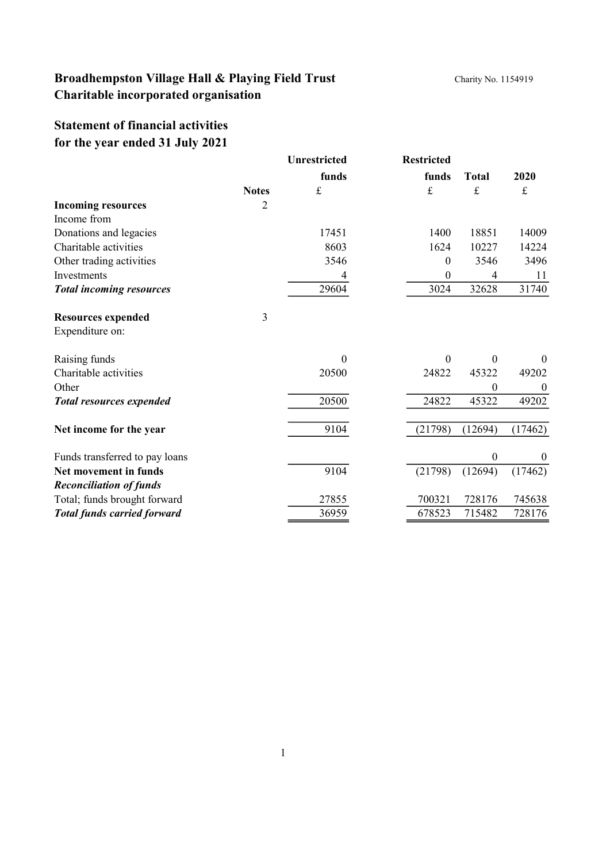## **Statement of financial activities for the year ended 31 July 2021**

|                                    |              | <b>Unrestricted</b> | <b>Restricted</b> |              |                  |
|------------------------------------|--------------|---------------------|-------------------|--------------|------------------|
|                                    |              | funds               | funds             | <b>Total</b> | 2020             |
|                                    | <b>Notes</b> | $\pounds$           | $\mathbf f$       | £            | $\pounds$        |
| <b>Incoming resources</b>          | 2            |                     |                   |              |                  |
| Income from                        |              |                     |                   |              |                  |
| Donations and legacies             |              | 17451               | 1400              | 18851        | 14009            |
| Charitable activities              |              | 8603                | 1624              | 10227        | 14224            |
| Other trading activities           |              | 3546                | $\mathbf{0}$      | 3546         | 3496             |
| Investments                        |              |                     | $\boldsymbol{0}$  | 4            | 11               |
| <b>Total incoming resources</b>    |              | 29604               | 3024              | 32628        | 31740            |
| <b>Resources expended</b>          | 3            |                     |                   |              |                  |
| Expenditure on:                    |              |                     |                   |              |                  |
| Raising funds                      |              | $\Omega$            | $\overline{0}$    | $\theta$     | $\mathbf{0}$     |
| Charitable activities              |              | 20500               | 24822             | 45322        | 49202            |
| Other                              |              |                     |                   | $\theta$     | $\overline{0}$   |
| <b>Total resources expended</b>    |              | 20500               | 24822             | 45322        | 49202            |
| Net income for the year            |              | 9104                | (21798)           | (12694)      | (17462)          |
| Funds transferred to pay loans     |              |                     |                   | $\theta$     | $\boldsymbol{0}$ |
| Net movement in funds              |              | 9104                | (21798)           | (12694)      | (17462)          |
| <b>Reconciliation of funds</b>     |              |                     |                   |              |                  |
| Total; funds brought forward       |              | 27855               | 700321            | 728176       | 745638           |
| <b>Total funds carried forward</b> |              | 36959               | 678523            | 715482       | 728176           |
|                                    |              |                     |                   |              |                  |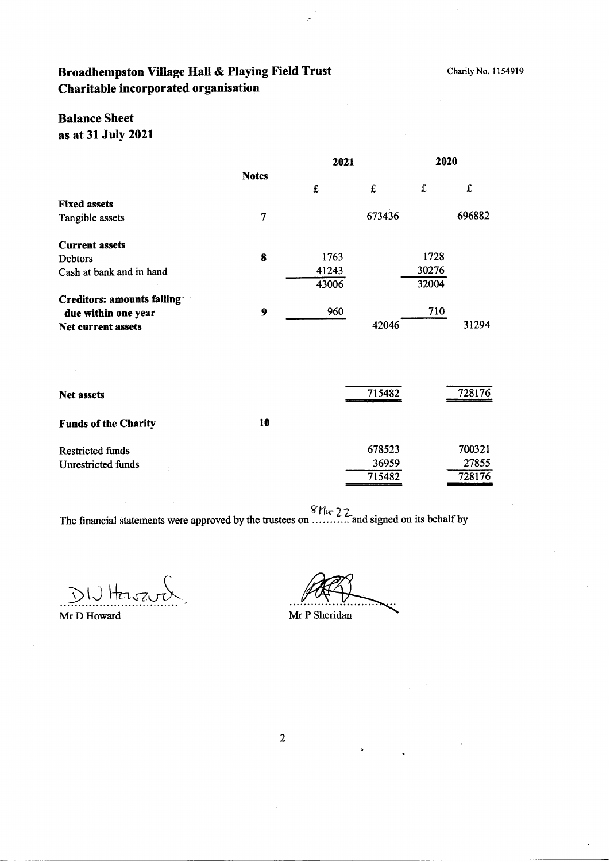## Broadhempston Village Hall & Playing Field Trust Charitable incorporated organisation

## **Balance Sheet** as at 31 July 2021

|                                          |              | 2021  |        | 2020  |        |
|------------------------------------------|--------------|-------|--------|-------|--------|
|                                          | <b>Notes</b> | £     | £      | £     | £      |
| <b>Fixed assets</b>                      |              |       |        |       |        |
| Tangible assets                          | 7            |       | 673436 |       | 696882 |
| <b>Current assets</b>                    |              |       |        |       |        |
| Debtors                                  | 8            | 1763  |        | 1728  |        |
| Cash at bank and in hand                 |              | 41243 |        | 30276 |        |
|                                          |              | 43006 |        | 32004 |        |
| <b>Creditors: amounts falling Theory</b> |              |       |        |       |        |
| due within one year                      | 9            | 960   |        | 710   |        |
| Net current assets                       |              |       | 42046  |       | 31294  |
|                                          |              |       |        |       |        |
| <b>Net assets</b>                        |              |       | 715482 |       | 728176 |
| <b>Funds of the Charity</b>              | 10           |       |        |       |        |
| <b>Restricted funds</b>                  |              |       | 678523 |       | 700321 |
| Unrestricted funds                       |              |       | 36959  |       | 27855  |
|                                          |              |       | 715482 |       | 728176 |

The financial statements were approved by the trustees on  $\frac{8 \text{Mg}}{22}$  and signed on its behalf by

DWHarsard

Mr D Howard

Mr P Sheridan

 $\overline{2}$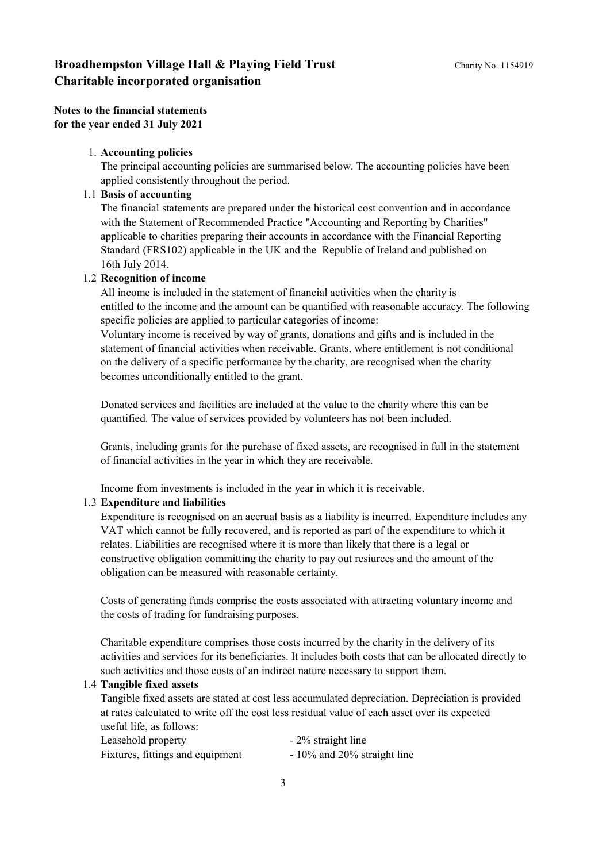**Notes to the financial statements for the year ended 31 July 2021**

#### 1. **Accounting policies**

The principal accounting policies are summarised below. The accounting policies have been applied consistently throughout the period.

### 1.1 **Basis of accounting**

The financial statements are prepared under the historical cost convention and in accordance with the Statement of Recommended Practice "Accounting and Reporting by Charities" applicable to charities preparing their accounts in accordance with the Financial Reporting Standard (FRS102) applicable in the UK and the Republic of Ireland and published on 16th July 2014.

### 1.2 **Recognition of income**

All income is included in the statement of financial activities when the charity is entitled to the income and the amount can be quantified with reasonable accuracy. The following specific policies are applied to particular categories of income:

Voluntary income is received by way of grants, donations and gifts and is included in the statement of financial activities when receivable. Grants, where entitlement is not conditional on the delivery of a specific performance by the charity, are recognised when the charity becomes unconditionally entitled to the grant.

Donated services and facilities are included at the value to the charity where this can be quantified. The value of services provided by volunteers has not been included.

Grants, including grants for the purchase of fixed assets, are recognised in full in the statement of financial activities in the year in which they are receivable.

Income from investments is included in the year in which it is receivable.

#### 1.3 **Expenditure and liabilities**

Expenditure is recognised on an accrual basis as a liability is incurred. Expenditure includes any VAT which cannot be fully recovered, and is reported as part of the expenditure to which it relates. Liabilities are recognised where it is more than likely that there is a legal or constructive obligation committing the charity to pay out resiurces and the amount of the obligation can be measured with reasonable certainty.

Costs of generating funds comprise the costs associated with attracting voluntary income and the costs of trading for fundraising purposes.

Charitable expenditure comprises those costs incurred by the charity in the delivery of its activities and services for its beneficiaries. It includes both costs that can be allocated directly to such activities and those costs of an indirect nature necessary to support them.

#### 1.4 **Tangible fixed assets**

Tangible fixed assets are stated at cost less accumulated depreciation. Depreciation is provided at rates calculated to write off the cost less residual value of each asset over its expected useful life, as follows:

| Leasehold property               | - 2% straight line            |
|----------------------------------|-------------------------------|
| Fixtures, fittings and equipment | $-10\%$ and 20% straight line |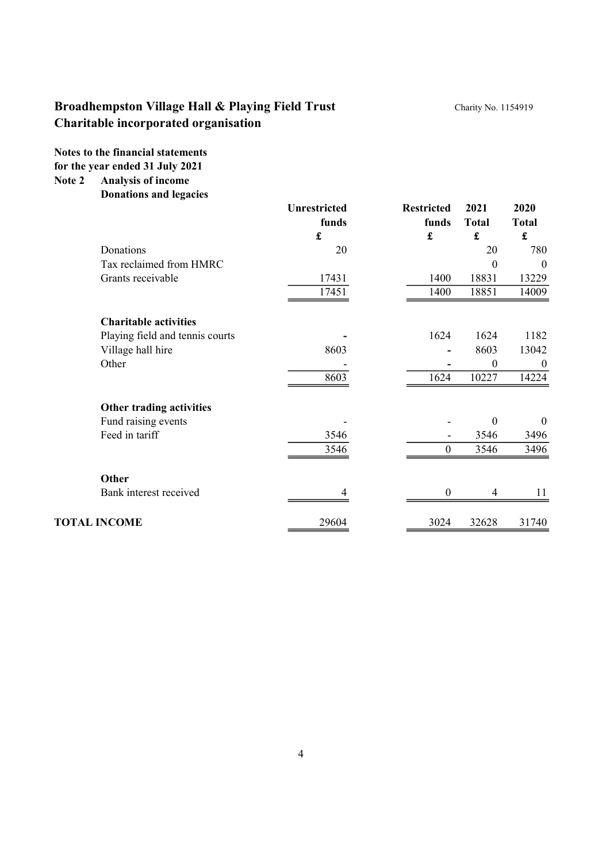**Notes to the financial statements for the year ended 31 July 2021**

**Note 2 Analysis of income**

**Donations and legacies**

|                                 | <b>Unrestricted</b><br>funds | <b>Restricted</b><br>funds | 2021<br><b>Total</b> | 2020<br><b>Total</b> |
|---------------------------------|------------------------------|----------------------------|----------------------|----------------------|
|                                 | £                            | £                          | £                    | £                    |
| Donations                       | 20                           |                            | 20                   | 780                  |
| Tax reclaimed from HMRC         |                              |                            | $\theta$             | $\theta$             |
| Grants receivable               | 17431                        | 1400                       | 18831                | 13229                |
|                                 | 17451                        | 1400                       | 18851                | 14009                |
| <b>Charitable activities</b>    |                              |                            |                      |                      |
| Playing field and tennis courts |                              | 1624                       | 1624                 | 1182                 |
| Village hall hire               | 8603                         |                            | 8603                 | 13042                |
| Other                           |                              |                            | $\boldsymbol{0}$     | $\boldsymbol{0}$     |
|                                 | 8603                         | 1624                       | 10227                | 14224                |
| Other trading activities        |                              |                            |                      |                      |
| Fund raising events             |                              |                            | $\boldsymbol{0}$     | $\mathbf{0}$         |
| Feed in tariff                  | 3546                         |                            | 3546                 | 3496                 |
|                                 | 3546                         | $\boldsymbol{0}$           | 3546                 | 3496                 |
| <b>Other</b>                    |                              |                            |                      |                      |
| Bank interest received          | 4                            | $\boldsymbol{0}$           | $\overline{4}$       | 11                   |
| <b>TOTAL INCOME</b>             | 29604                        | 3024                       | 32628                | 31740                |
|                                 |                              |                            |                      |                      |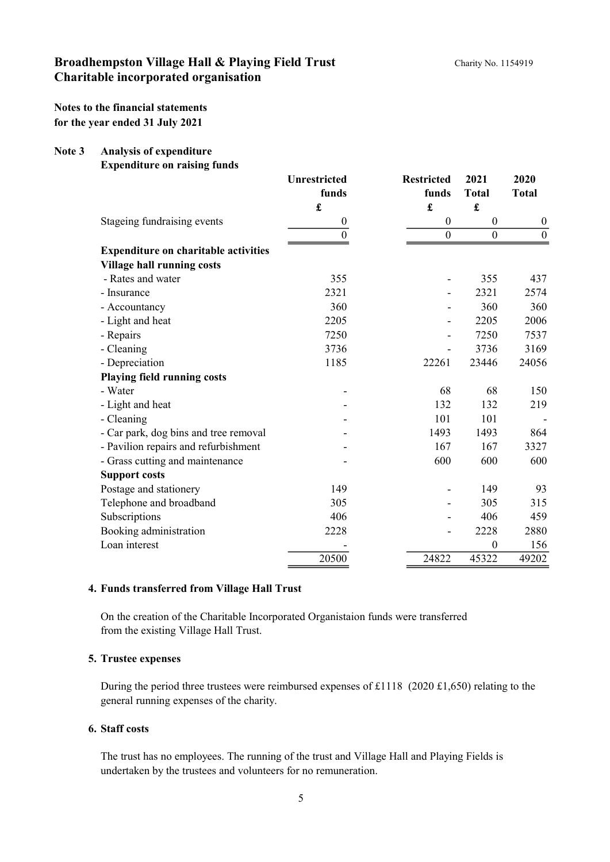**Notes to the financial statements for the year ended 31 July 2021**

#### **Note 3 Analysis of expenditure**

**Expenditure on raising funds**

|                                             | <b>Unrestricted</b> | <b>Restricted</b> | 2021             | 2020             |
|---------------------------------------------|---------------------|-------------------|------------------|------------------|
|                                             | funds               | funds             | <b>Total</b>     | <b>Total</b>     |
|                                             | £                   | £                 | £                |                  |
| Stageing fundraising events                 | $\boldsymbol{0}$    | $\boldsymbol{0}$  | $\boldsymbol{0}$ | $\boldsymbol{0}$ |
|                                             | $\theta$            | $\boldsymbol{0}$  | $\boldsymbol{0}$ | $\boldsymbol{0}$ |
| <b>Expenditure on charitable activities</b> |                     |                   |                  |                  |
| <b>Village hall running costs</b>           |                     |                   |                  |                  |
| - Rates and water                           | 355                 |                   | 355              | 437              |
| - Insurance                                 | 2321                |                   | 2321             | 2574             |
| - Accountancy                               | 360                 |                   | 360              | 360              |
| - Light and heat                            | 2205                |                   | 2205             | 2006             |
| - Repairs                                   | 7250                |                   | 7250             | 7537             |
| - Cleaning                                  | 3736                |                   | 3736             | 3169             |
| - Depreciation                              | 1185                | 22261             | 23446            | 24056            |
| <b>Playing field running costs</b>          |                     |                   |                  |                  |
| - Water                                     |                     | 68                | 68               | 150              |
| - Light and heat                            |                     | 132               | 132              | 219              |
| - Cleaning                                  |                     | 101               | 101              |                  |
| - Car park, dog bins and tree removal       |                     | 1493              | 1493             | 864              |
| - Pavilion repairs and refurbishment        |                     | 167               | 167              | 3327             |
| - Grass cutting and maintenance             |                     | 600               | 600              | 600              |
| <b>Support costs</b>                        |                     |                   |                  |                  |
| Postage and stationery                      | 149                 |                   | 149              | 93               |
| Telephone and broadband                     | 305                 |                   | 305              | 315              |
| Subscriptions                               | 406                 |                   | 406              | 459              |
| Booking administration                      | 2228                |                   | 2228             | 2880             |
| Loan interest                               |                     |                   | $\theta$         | 156              |
|                                             | 20500               | 24822             | 45322            | 49202            |

### **4. Funds transferred from Village Hall Trust**

On the creation of the Charitable Incorporated Organistaion funds were transferred from the existing Village Hall Trust.

### **5. Trustee expenses**

During the period three trustees were reimbursed expenses of £1118 (2020 £1,650) relating to the general running expenses of the charity.

### **6. Staff costs**

The trust has no employees. The running of the trust and Village Hall and Playing Fields is undertaken by the trustees and volunteers for no remuneration.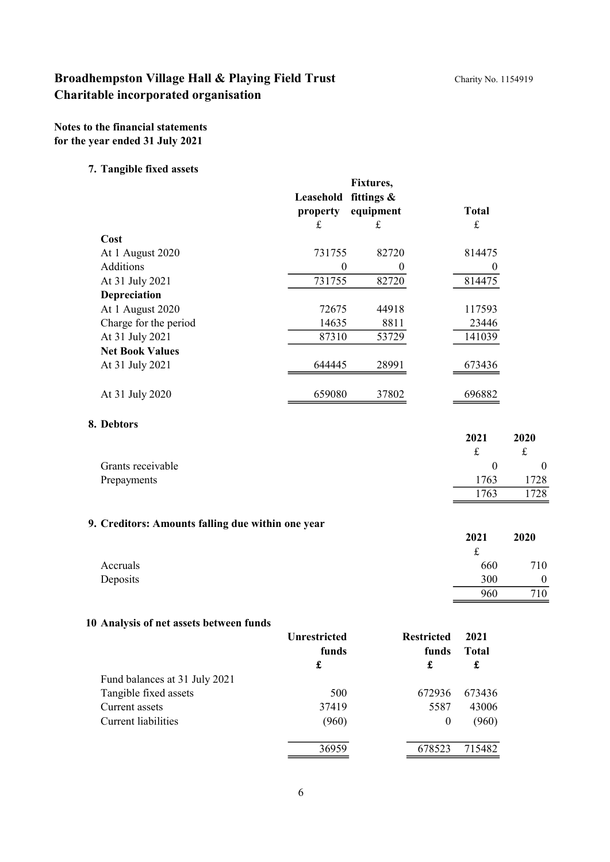**Notes to the financial statements for the year ended 31 July 2021**

### **7. Tangible fixed assets**

| o                      | Leasehold<br>property | Fixtures,<br>fittings $\&$<br>equipment | Total    |
|------------------------|-----------------------|-----------------------------------------|----------|
|                        | £                     | £                                       | £        |
| Cost                   |                       |                                         |          |
| At 1 August 2020       | 731755                | 82720                                   | 814475   |
| <b>Additions</b>       | 0                     |                                         | $\theta$ |
| At 31 July 2021        | 731755                | 82720                                   | 814475   |
| Depreciation           |                       |                                         |          |
| At 1 August 2020       | 72675                 | 44918                                   | 117593   |
| Charge for the period  | 14635                 | 8811                                    | 23446    |
| At 31 July 2021        | 87310                 | 53729                                   | 141039   |
| <b>Net Book Values</b> |                       |                                         |          |
| At 31 July 2021        | 644445                | 28991                                   | 673436   |
| At 31 July 2020        | 659080                | 37802                                   | 696882   |

### **8. Debtors**

| --------          | 2021 | 2020     |
|-------------------|------|----------|
| Grants receivable |      | $\theta$ |
| Prepayments       | 1763 | 1728     |
|                   | 1763 | 728      |

## **9. Creditors: Amounts falling due within one year**

|          | 2021 | 2020     |
|----------|------|----------|
|          | ىمە  |          |
| Accruals | 660  | 710      |
| Deposits | 300  | $\theta$ |
|          | 960  | 710      |

## **10 Analysis of net assets between funds**

|                               | <b>Unrestricted</b><br>funds<br>£ | <b>Restricted</b><br>funds<br>£ | 2021<br><b>Total</b><br>£ |
|-------------------------------|-----------------------------------|---------------------------------|---------------------------|
| Fund balances at 31 July 2021 |                                   |                                 |                           |
| Tangible fixed assets         | 500                               | 672936                          | 673436                    |
| Current assets                | 37419                             | 5587                            | 43006                     |
| Current liabilities           | (960)                             | 0                               | (960)                     |
|                               | 36959                             | 678523                          | 715482                    |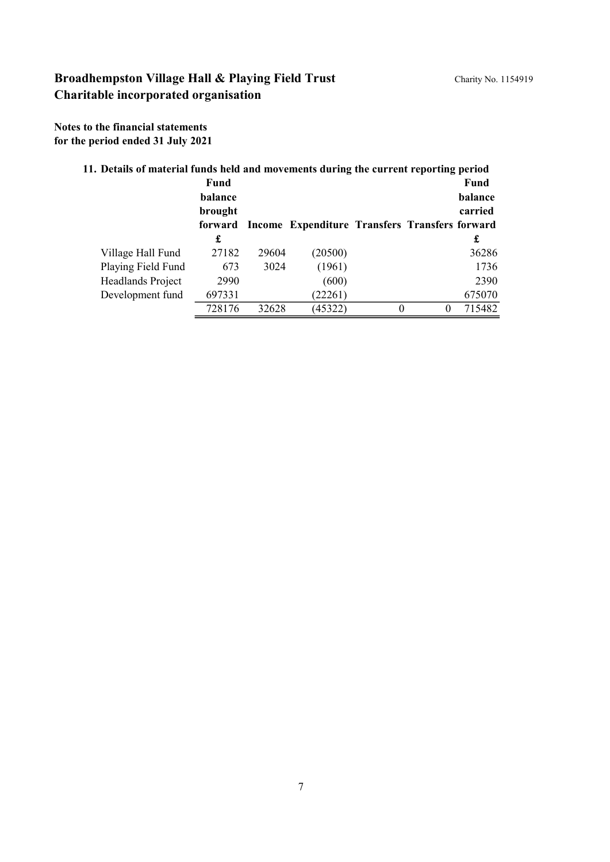**Notes to the financial statements for the period ended 31 July 2021**

| 11. Details of material funds held and movements during the current reporting period |         |       |                                                |   |   |         |
|--------------------------------------------------------------------------------------|---------|-------|------------------------------------------------|---|---|---------|
|                                                                                      | Fund    |       |                                                |   |   | Fund    |
|                                                                                      | balance |       |                                                |   |   | balance |
|                                                                                      | brought |       |                                                |   |   | carried |
|                                                                                      | forward |       | Income Expenditure Transfers Transfers forward |   |   |         |
|                                                                                      | £       |       |                                                |   |   | £       |
| Village Hall Fund                                                                    | 27182   | 29604 | (20500)                                        |   |   | 36286   |
| Playing Field Fund                                                                   | 673     | 3024  | (1961)                                         |   |   | 1736    |
| Headlands Project                                                                    | 2990    |       | (600)                                          |   |   | 2390    |
| Development fund                                                                     | 697331  |       | (22261)                                        |   |   | 675070  |
|                                                                                      | 728176  | 32628 | (45322)                                        | 0 | 0 | 715482  |